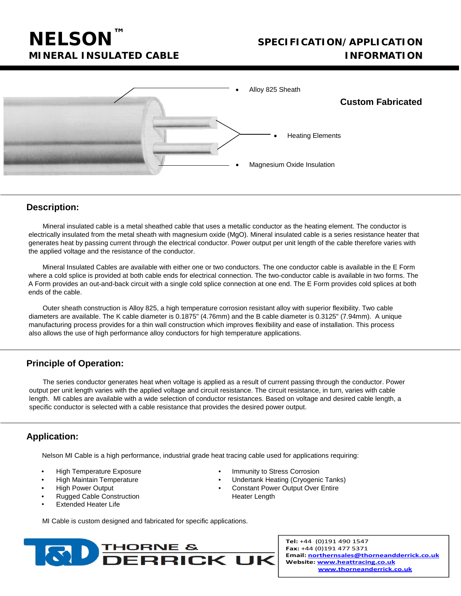# **NELSON™**

# **SPECIFICATION/APPLICATION MINERAL INSULATED CABLE INFORMATION**



### **Description:**

Mineral insulated cable is a metal sheathed cable that uses a metallic conductor as the heating element. The conductor is electrically insulated from the metal sheath with magnesium oxide (MgO). Mineral insulated cable is a series resistance heater that generates heat by passing current through the electrical conductor. Power output per unit length of the cable therefore varies with the applied voltage and the resistance of the conductor.

Mineral Insulated Cables are available with either one or two conductors. The one conductor cable is available in the E Form where a cold splice is provided at both cable ends for electrical connection. The two-conductor cable is available in two forms. The A Form provides an out-and-back circuit with a single cold splice connection at one end. The E Form provides cold splices at both ends of the cable.

Outer sheath construction is Alloy 825, a high temperature corrosion resistant alloy with superior flexibility. Two cable diameters are available. The K cable diameter is 0.1875" (4.76mm) and the B cable diameter is 0.3125" (7.94mm). A unique manufacturing process provides for a thin wall construction which improves flexibility and ease of installation. This process also allows the use of high performance alloy conductors for high temperature applications.

## **Principle of Operation:**

The series conductor generates heat when voltage is applied as a result of current passing through the conductor. Power output per unit length varies with the applied voltage and circuit resistance. The circuit resistance, in turn, varies with cable length. MI cables are available with a wide selection of conductor resistances. Based on voltage and desired cable length, a specific conductor is selected with a cable resistance that provides the desired power output.

## **Application:**

Nelson MI Cable is a high performance, industrial grade heat tracing cable used for applications requiring:

- 
- 
- 
- **Rugged Cable Construction Heater Length**
- **Extended Heater Life**
- High Temperature Exposure Immunity to Stress Corrosion
- High Maintain Temperature Undertank Heating (Cryogenic Tanks)
- High Power Output Constant Power Output Over Entire
	-

MI Cable is custom designed and fabricated for specific applications.



Tel: +44 (0)191 490 1547 Fax: +44 (0)191 477 5371 Email: northernsales@thorneandderrick.co.uk Website: www.heattracing.co.uk www.thorneanderrick.co.uk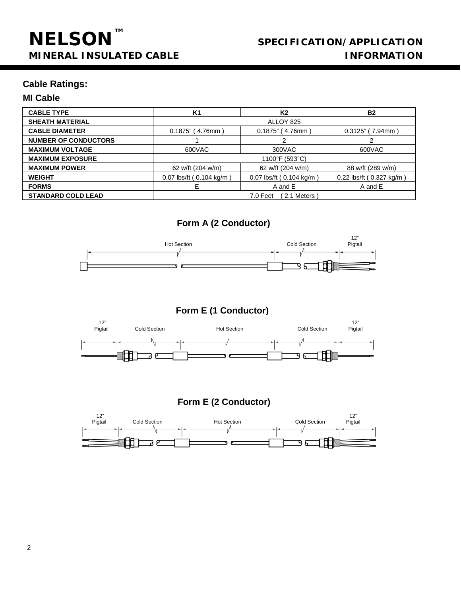# **SPECIFICATION/APPLICATION MINERAL INSULATED CABLE INFORMATION**

## **Cable Ratings:**

## **MI Cable**

| <b>CABLE TYPE</b>           | K1                            | K2                       | <b>B2</b>                |
|-----------------------------|-------------------------------|--------------------------|--------------------------|
| <b>SHEATH MATERIAL</b>      | ALLOY 825                     |                          |                          |
| <b>CABLE DIAMETER</b>       | (4.76mm)<br>0.1875"           | $0.1875$ " (4.76mm)      | $0.3125"$ (7.94mm)       |
| <b>NUMBER OF CONDUCTORS</b> |                               | っ                        |                          |
| <b>MAXIMUM VOLTAGE</b>      | 600VAC                        | 300VAC                   | 600VAC                   |
| <b>MAXIMUM EXPOSURE</b>     | 1100°F (593°C)                |                          |                          |
| <b>MAXIMUM POWER</b>        | 62 w/ft (204 w/m)             | 62 w/ft (204 w/m)        | 88 w/ft (289 w/m)        |
| <b>WEIGHT</b>               | $0.07$ lbs/ft ( $0.104$ kg/m) | 0.07 lbs/ft (0.104 kg/m) | 0.22 lbs/ft (0.327 kg/m) |
| <b>FORMS</b>                | F                             | A and E                  | A and E                  |
| <b>STANDARD COLD LEAD</b>   | 2.1 Meters<br>7.0 Feet        |                          |                          |

# **Form A (2 Conductor)**



**Form E (1 Conductor)**





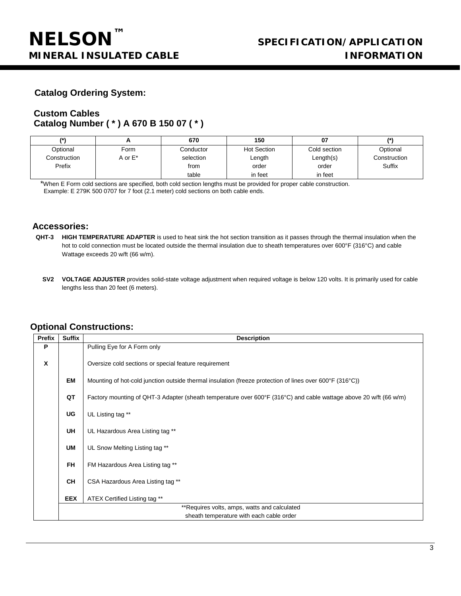## **Catalog Ordering System:**

## **Custom Cables Catalog Number ( \* ) A 670 B 150 07 ( \* )**

|              |         | 670       | 150                | 07           |              |
|--------------|---------|-----------|--------------------|--------------|--------------|
| Optional     | Form    | Conductor | <b>Hot Section</b> | Cold section | Optional     |
| Construction | A or E* | selection | Length             | Length(s)    | Construction |
| Prefix       |         | from      | order              | order        | Suffix       |
|              |         | table     | in feet            | in feet      |              |

\*When E Form cold sections are specified, both cold section lengths must be provided for proper cable construction. Example: E 279K 500 0707 for 7 foot (2.1 meter) cold sections on both cable ends.

#### **Accessories:**

- **QHT-3 HIGH TEMPERATURE ADAPTER** is used to heat sink the hot section transition as it passes through the thermal insulation when the hot to cold connection must be located outside the thermal insulation due to sheath temperatures over 600°F (316°C) and cable Wattage exceeds 20 w/ft (66 w/m).
	- **SV2 VOLTAGE ADJUSTER** provides solid-state voltage adjustment when required voltage is below 120 volts. It is primarily used for cable lengths less than 20 feet (6 meters).

## **Optional Constructions:**

| <b>Prefix</b> | <b>Suffix</b> | <b>Description</b>                                                                                                |
|---------------|---------------|-------------------------------------------------------------------------------------------------------------------|
| P             |               | Pulling Eye for A Form only                                                                                       |
| X             |               | Oversize cold sections or special feature requirement                                                             |
|               | EM            | Mounting of hot-cold junction outside thermal insulation (freeze protection of lines over 600°F (316°C))          |
|               | QT            | Factory mounting of QHT-3 Adapter (sheath temperature over 600°F (316°C) and cable wattage above 20 w/ft (66 w/m) |
|               | <b>UG</b>     | UL Listing tag **                                                                                                 |
|               | UH            | UL Hazardous Area Listing tag **                                                                                  |
|               | UM            | UL Snow Melting Listing tag **                                                                                    |
|               | <b>FH</b>     | FM Hazardous Area Listing tag **                                                                                  |
|               | <b>CH</b>     | CSA Hazardous Area Listing tag **                                                                                 |
|               | <b>EEX</b>    | ATEX Certified Listing tag **                                                                                     |
|               |               | **Requires volts, amps, watts and calculated                                                                      |
|               |               | sheath temperature with each cable order                                                                          |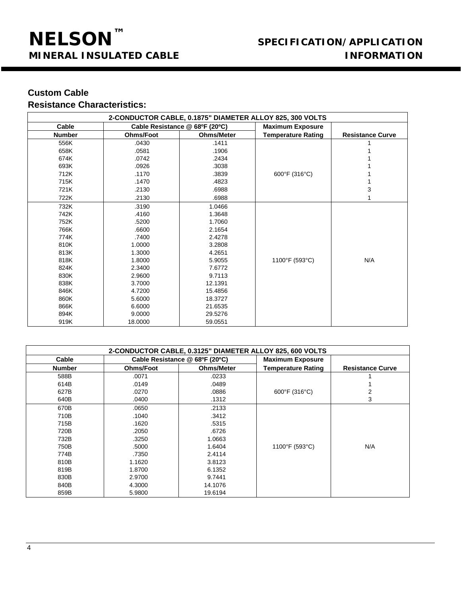# **SPECIFICATION/APPLICATION MINERAL INSULATED CABLE INFORMATION**

# **Custom Cable**

# **Resistance Characteristics:**

| 2-CONDUCTOR CABLE, 0.1875" DIAMETER ALLOY 825, 300 VOLTS |                                |                   |                           |                         |
|----------------------------------------------------------|--------------------------------|-------------------|---------------------------|-------------------------|
| Cable                                                    | Cable Resistance @ 68ºF (20°C) |                   | <b>Maximum Exposure</b>   |                         |
| <b>Number</b>                                            | Ohms/Foot                      | <b>Ohms/Meter</b> | <b>Temperature Rating</b> | <b>Resistance Curve</b> |
| 556K                                                     | .0430                          | .1411             |                           |                         |
| 658K                                                     | .0581                          | .1906             |                           |                         |
| 674K                                                     | .0742                          | .2434             |                           |                         |
| 693K                                                     | .0926                          | .3038             |                           |                         |
| 712K                                                     | .1170                          | .3839             | 600°F (316°C)             |                         |
| 715K                                                     | .1470                          | .4823             |                           |                         |
| 721K                                                     | .2130                          | .6988             |                           | 3                       |
| 722K                                                     | .2130                          | .6988             |                           |                         |
| 732K                                                     | .3190                          | 1.0466            |                           |                         |
| 742K                                                     | .4160                          | 1.3648            |                           |                         |
| 752K                                                     | .5200                          | 1.7060            |                           |                         |
| 766K                                                     | .6600                          | 2.1654            |                           |                         |
| 774K                                                     | .7400                          | 2.4278            |                           |                         |
| 810K                                                     | 1.0000                         | 3.2808            |                           |                         |
| 813K                                                     | 1.3000                         | 4.2651            |                           |                         |
| 818K                                                     | 1.8000                         | 5.9055            | 1100°F (593°C)            | N/A                     |
| 824K                                                     | 2.3400                         | 7.6772            |                           |                         |
| 830K                                                     | 2.9600                         | 9.7113            |                           |                         |
| 838K                                                     | 3.7000                         | 12.1391           |                           |                         |
| 846K                                                     | 4.7200                         | 15.4856           |                           |                         |
| 860K                                                     | 5.6000                         | 18.3727           |                           |                         |
| 866K                                                     | 6.6000                         | 21.6535           |                           |                         |
| 894K                                                     | 9.0000                         | 29.5276           |                           |                         |
| 919K                                                     | 18.0000                        | 59.0551           |                           |                         |

| 2-CONDUCTOR CABLE, 0.3125" DIAMETER ALLOY 825, 600 VOLTS |                                |                   |                           |                         |
|----------------------------------------------------------|--------------------------------|-------------------|---------------------------|-------------------------|
| Cable                                                    | Cable Resistance @ 68ºF (20ºC) |                   | <b>Maximum Exposure</b>   |                         |
| <b>Number</b>                                            | <b>Ohms/Foot</b>               | <b>Ohms/Meter</b> | <b>Temperature Rating</b> | <b>Resistance Curve</b> |
| 588B                                                     | .0071                          | .0233             |                           |                         |
| 614B                                                     | .0149                          | .0489             |                           |                         |
| 627B                                                     | .0270                          | .0886             | 600°F (316°C)             | 2                       |
| 640B                                                     | .0400                          | .1312             |                           | 3                       |
| 670B                                                     | .0650                          | .2133             |                           |                         |
| 710B                                                     | .1040                          | .3412             |                           |                         |
| 715B                                                     | .1620                          | .5315             |                           |                         |
| 720B                                                     | .2050                          | .6726             |                           |                         |
| 732B                                                     | .3250                          | 1.0663            |                           |                         |
| 750B                                                     | .5000                          | 1.6404            | 1100°F (593°C)            | N/A                     |
| 774B                                                     | .7350                          | 2.4114            |                           |                         |
| 810B                                                     | 1.1620                         | 3.8123            |                           |                         |
| 819B                                                     | 1.8700                         | 6.1352            |                           |                         |
| 830B                                                     | 2.9700                         | 9.7441            |                           |                         |
| 840B                                                     | 4.3000                         | 14.1076           |                           |                         |
| 859B                                                     | 5.9800                         | 19.6194           |                           |                         |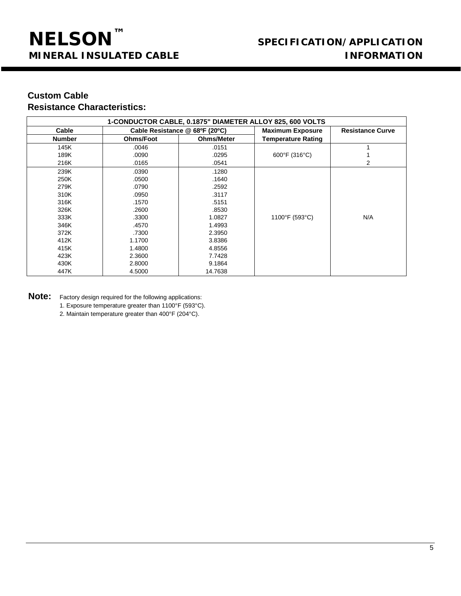# **Custom Cable Resistance Characteristics:**

| 1-CONDUCTOR CABLE, 0.1875" DIAMETER ALLOY 825, 600 VOLTS |                                |                   |                           |                         |
|----------------------------------------------------------|--------------------------------|-------------------|---------------------------|-------------------------|
| Cable                                                    | Cable Resistance @ 68ºF (20ºC) |                   | <b>Maximum Exposure</b>   | <b>Resistance Curve</b> |
| <b>Number</b>                                            | <b>Ohms/Foot</b>               | <b>Ohms/Meter</b> | <b>Temperature Rating</b> |                         |
| 145K                                                     | .0046                          | .0151             |                           |                         |
| 189K                                                     | .0090                          | .0295             | 600°F (316°C)             |                         |
| 216K                                                     | .0165                          | .0541             |                           | 2                       |
| 239K                                                     | .0390                          | .1280             |                           |                         |
| 250K                                                     | .0500                          | .1640             |                           |                         |
| 279K                                                     | .0790                          | .2592             |                           |                         |
| 310K                                                     | .0950                          | .3117             |                           |                         |
| 316K                                                     | .1570                          | .5151             |                           |                         |
| 326K                                                     | .2600                          | .8530             |                           |                         |
| 333K                                                     | .3300                          | 1.0827            | 1100°F (593°C)            | N/A                     |
| 346K                                                     | .4570                          | 1.4993            |                           |                         |
| 372K                                                     | .7300                          | 2.3950            |                           |                         |
| 412K                                                     | 1.1700                         | 3.8386            |                           |                         |
| 415K                                                     | 1.4800                         | 4.8556            |                           |                         |
| 423K                                                     | 2.3600                         | 7.7428            |                           |                         |
| 430K                                                     | 2.8000                         | 9.1864            |                           |                         |
| 447K                                                     | 4.5000                         | 14.7638           |                           |                         |

**Note:** Factory design required for the following applications:

- 1. Exposure temperature greater than 1100°F (593°C).
- 2. Maintain temperature greater than 400°F (204°C).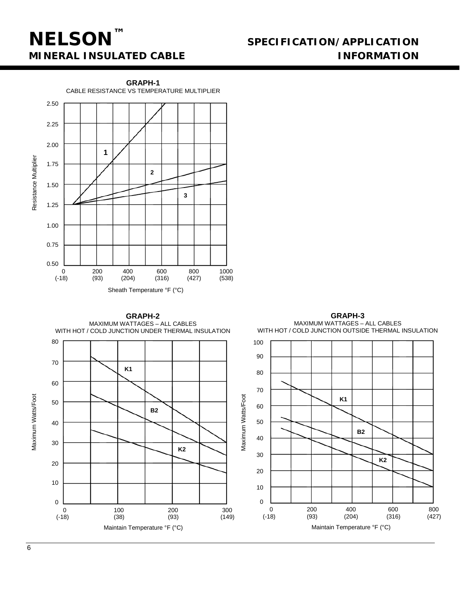# **NELSON™**

# **SPECIFICATION/APPLICATION MINERAL INSULATED CABLE INFORMATION**



**GRAPH-3 GRAPH-2** MAXIMUM WATTAGES – ALL CABLES MAXIMUM WATTAGES – ALL CABLES WITH HOT / COLD JUNCTION UNDER THERMAL INSULATION WITH HOT / COLD JUNCTION OUTSIDE THERMAL INSULATION 80 100 90 70 **K1** 80 60 70 Maximum Watts/Foot Maximum Watts/Foot Maximum Watts/Foot Maximum Watts/Foot **K1** 50 60 **B2** 50 40 **B2** 40 30 **K2**30 **K2** 20 20 10 10 0  $\Omega$ 0 200 400 600 800 0 100 200 300 (-18) (38) (93) (149) (-18) (93) (204) (316) (427) Maintain Temperature °F (°C) Maintain Temperature °F (°C)

6